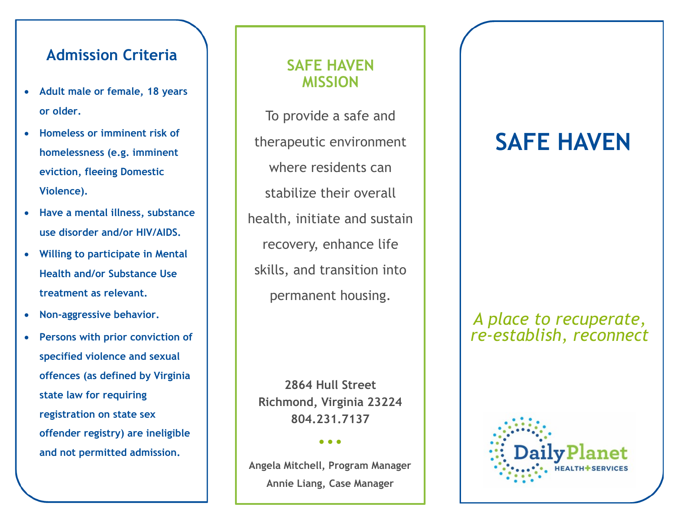# **Admission Criteria**

- **Adult male or female, 18 years or older.**
- **Homeless or imminent risk of homelessness (e.g. imminent eviction, fleeing Domestic Violence).**
- **Have a mental illness, substance use disorder and/or HIV/AIDS.**
- **Willing to participate in Mental Health and/or Substance Use treatment as relevant.**
- **Non-aggressive behavior.**
- *"Customer quotes are an excellent way to demonstrate your success*  **offences (as defined by Virginia**  *and put emphasis on your values.*  **state law for requiring**  *They also add visual interest to*  **registration on state sex offender registry) are ineligible** *- Kim Abercrombie* **and not permitted admission. Persons with prior conviction of specified violence and sexual**

## **SAFE HAVEN MISSION**

To provide a safe and therapeutic environment where residents can stabilize their overall health, initiate and sustain recovery, enhance life skills, and transition into permanent housing.

**2864 Hull Street Richmond, Virginia 23224 804.231.7137**

#### **• • •**

**Angela Mitchell, Program Manager Annie Liang, Case Manager**

# **SAFE HAVEN**

## *A place to recuperate, re-establish, reconnect*